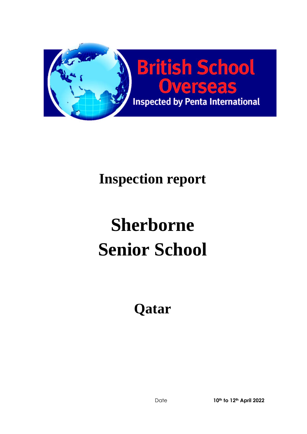

# **Inspection report**

# **Sherborne Senior School**

**Qatar**

Date **10th to 12th April 2022**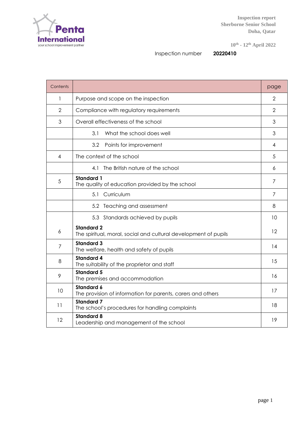

**10th - 12th April 2022**

Inspection number **20220410**

| Contents       |                                                                                      | page |  |  |  |  |
|----------------|--------------------------------------------------------------------------------------|------|--|--|--|--|
| 1              | Purpose and scope on the inspection                                                  |      |  |  |  |  |
| $\overline{2}$ | Compliance with regulatory requirements                                              |      |  |  |  |  |
| 3              | Overall effectiveness of the school                                                  | 3    |  |  |  |  |
|                | What the school does well<br>3.1                                                     | 3    |  |  |  |  |
|                | 3.2<br>Points for improvement                                                        | 4    |  |  |  |  |
| 4              | The context of the school                                                            | 5    |  |  |  |  |
|                | The British nature of the school<br>4.1                                              | 6    |  |  |  |  |
| 5              | <b>Standard 1</b><br>The quality of education provided by the school                 | 7    |  |  |  |  |
|                | 5.1<br>Curriculum                                                                    | 7    |  |  |  |  |
|                | 5.2 Teaching and assessment                                                          | 8    |  |  |  |  |
|                | 5.3 Standards achieved by pupils                                                     | 10   |  |  |  |  |
| 6              | <b>Standard 2</b><br>The spiritual, moral, social and cultural development of pupils | 12   |  |  |  |  |
| $\overline{7}$ | <b>Standard 3</b><br>The welfare, health and safety of pupils                        | 14   |  |  |  |  |
| 8              | <b>Standard 4</b><br>The suitability of the proprietor and staff                     | 15   |  |  |  |  |
| 9              | <b>Standard 5</b><br>The premises and accommodation                                  | 16   |  |  |  |  |
| 10             | <b>Standard 6</b><br>The provision of information for parents, carers and others     | 17   |  |  |  |  |
| 11             | <b>Standard 7</b><br>The school's procedures for handling complaints                 | 18   |  |  |  |  |
| 12             | <b>Standard 8</b><br>Leadership and management of the school                         | 19   |  |  |  |  |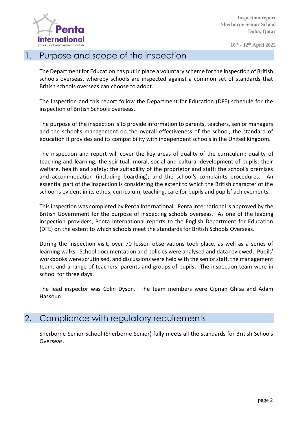

#### 1. Purpose and scope of the inspection

The Department for Education has put in place a voluntary scheme for the inspection of British schools overseas, whereby schools are inspected against a common set of standards that British schools overseas can choose to adopt.

The inspection and this report follow the Department for Education (DFE) schedule for the inspection of British Schools overseas.

The purpose of the inspection is to provide information to parents, teachers, senior managers and the school's management on the overall effectiveness of the school, the standard of education it provides and its compatibility with independent schools in the United Kingdom.

The inspection and report will cover the key areas of quality of the curriculum; quality of teaching and learning; the spiritual, moral, social and cultural development of pupils; their welfare, health and safety; the suitability of the proprietor and staff; the school's premises and accommodation (including boarding); and the school's complaints procedures. An essential part of the inspection is considering the extent to which the British character of the school is evident in its ethos, curriculum, teaching, care for pupils and pupils' achievements.

This inspection was completed by Penta International. Penta International is approved by the British Government for the purpose of inspecting schools overseas. As one of the leading inspection providers, Penta International reports to the English Department for Education (DFE) on the extent to which schools meet the standards for British Schools Overseas.

During the inspection visit, over 70 lesson observations took place, as well as a series of learning walks. School documentation and policies were analysed and data reviewed. Pupils' workbooks were scrutinised, and discussions were held with the senior staff, the management team, and a range of teachers, parents and groups of pupils. The inspection team were in school for three days.

The lead inspector was Colin Dyson. The team members were Ciprian Ghisa and Adam Hassoun.

#### 2. Compliance with regulatory requirements

Sherborne Senior School (Sherborne Senior) fully meets all the standards for British Schools Overseas.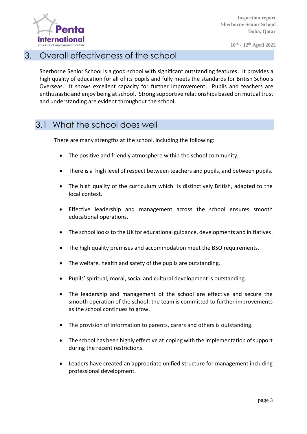

#### 3. Overall effectiveness of the school

Sherborne Senior School is a good school with significant outstanding features. It provides a high quality of education for all of its pupils and fully meets the standards for British Schools Overseas. It shows excellent capacity for further improvement. Pupils and teachers are enthusiastic and enjoy being at school. Strong supportive relationships based on mutual trust and understanding are evident throughout the school.

#### 3.1 What the school does well

There are many strengths at the school, including the following:

- The positive and friendly atmosphere within the school community.
- There is a high level of respect between teachers and pupils, and between pupils.
- The high quality of the curriculum which is distinctively British, adapted to the local context.
- Effective leadership and management across the school ensures smooth educational operations.
- The school looks to the UK for educational guidance, developments and initiatives.
- The high quality premises and accommodation meet the BSO requirements.
- The welfare, health and safety of the pupils are outstanding.
- Pupils' spiritual, moral, social and cultural development is outstanding.
- The leadership and management of the school are effective and secure the smooth operation of the school: the team is committed to further improvements as the school continues to grow.
- The provision of information to parents, carers and others is outstanding.
- The school has been highly effective at coping with the implementation of support during the recent restrictions.
- Leaders have created an appropriate unified structure for management including professional development.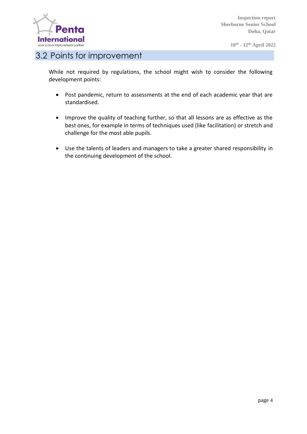

**10th - 12th April 2022**

#### 3.2 Points for improvement

While not required by regulations, the school might wish to consider the following development points:

- Post pandemic, return to assessments at the end of each academic year that are standardised.
- Improve the quality of teaching further, so that all lessons are as effective as the best ones, for example in terms of techniques used (like facilitation) or stretch and challenge for the most able pupils.
- Use the talents of leaders and managers to take a greater shared responsibility in the continuing development of the school.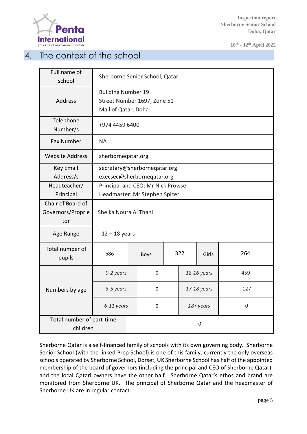

**10th - 12th April 2022**

#### 4. The context of the school

| Full name of<br>school                | Sherborne Senior School, Qatar    |   |             |  |             |       |             |
|---------------------------------------|-----------------------------------|---|-------------|--|-------------|-------|-------------|
|                                       | <b>Building Number 19</b>         |   |             |  |             |       |             |
| <b>Address</b>                        | Street Number 1697, Zone 51       |   |             |  |             |       |             |
|                                       | Mall of Qatar, Doha               |   |             |  |             |       |             |
| Telephone<br>Number/s                 | +974 4459 6400                    |   |             |  |             |       |             |
| Fax Number                            | <b>NA</b>                         |   |             |  |             |       |             |
| <b>Website Address</b>                | sherborneqatar.org                |   |             |  |             |       |             |
| <b>Key Email</b>                      | secretary@sherborneqatar.org      |   |             |  |             |       |             |
| Address/s                             | execsec@sherborneqatar.org        |   |             |  |             |       |             |
| Headteacher/                          | Principal and CEO: Mr Nick Prowse |   |             |  |             |       |             |
| Principal                             | Headmaster: Mr Stephen Spicer     |   |             |  |             |       |             |
| Chair of Board of                     | Sheika Noura Al Thani             |   |             |  |             |       |             |
| Governors/Proprie                     |                                   |   |             |  |             |       |             |
| tor                                   |                                   |   |             |  |             |       |             |
| Age Range                             | $12 - 18$ years                   |   |             |  |             |       |             |
| Total number of<br>pupils             | 586                               |   | <b>Boys</b> |  | 322         | Girls | 264         |
|                                       | 0-2 years                         |   | 0           |  | 12-16 years |       | 459         |
| Numbers by age                        | 3-5 years                         |   | 0           |  | 17-18 years |       | 127         |
|                                       | 6-11 years                        | 0 |             |  | 18+ years   |       | $\mathbf 0$ |
| Total number of part-time<br>children |                                   |   | 0           |  |             |       |             |

Sherborne Qatar is a self-financed family of schools with its own governing body. Sherborne Senior School (with the linked Prep School) is one of this family, currently the only overseas schools operated by Sherborne School, Dorset, UK Sherborne School has half of the appointed membership of the board of governors (including the principal and CEO of Sherborne Qatar), and the local Qatari owners have the other half. Sherborne Qatar's ethos and brand are monitored from Sherborne UK. The principal of Sherborne Qatar and the headmaster of Sherborne UK are in regular contact.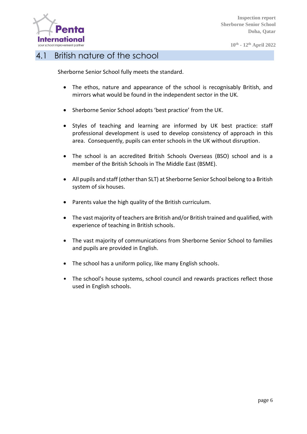

**10th - 12th April 2022**

#### 4.1 British nature of the school

Sherborne Senior School fully meets the standard.

- The ethos, nature and appearance of the school is recognisably British, and mirrors what would be found in the independent sector in the UK.
- Sherborne Senior School adopts 'best practice' from the UK.
- Styles of teaching and learning are informed by UK best practice: staff professional development is used to develop consistency of approach in this area. Consequently, pupils can enter schools in the UK without disruption.
- The school is an accredited British Schools Overseas (BSO) school and is a member of the British Schools in The Middle East (BSME).
- All pupils and staff (other than SLT) at Sherborne Senior School belong to a British system of six houses.
- Parents value the high quality of the British curriculum.
- The vast majority of teachers are British and/or British trained and qualified, with experience of teaching in British schools.
- The vast majority of communications from Sherborne Senior School to families and pupils are provided in English.
- The school has a uniform policy, like many English schools.
- The school's house systems, school council and rewards practices reflect those used in English schools.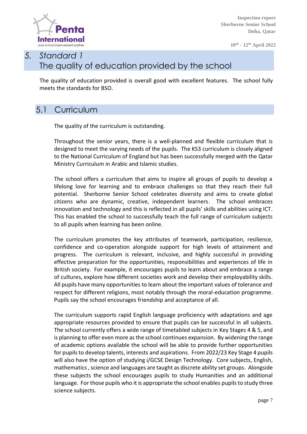

**10th - 12th April 2022**

## *5. Standard 1* The quality of education provided by the school

The quality of education provided is overall good with excellent features. The school fully meets the standards for BSO.

#### 5.1 Curriculum

The quality of the curriculum is outstanding.

Throughout the senior years, there is a well-planned and flexible curriculum that is designed to meet the varying needs of the pupils. The KS3 curriculum is closely aligned to the National Curriculum of England but has been successfully merged with the Qatar Ministry Curriculum in Arabic and Islamic studies.

The school offers a curriculum that aims to inspire all groups of pupils to develop a lifelong love for learning and to embrace challenges so that they reach their full potential. Sherborne Senior School celebrates diversity and aims to create global citizens who are dynamic, creative, independent learners. The school embraces innovation and technology and this is reflected in all pupils' skills and abilities using ICT. This has enabled the school to successfully teach the full range of curriculum subjects to all pupils when learning has been online.

The curriculum promotes the key attributes of teamwork, participation, resilience, confidence and co-operation alongside support for high levels of attainment and progress. The curriculum is relevant, inclusive, and highly successful in providing effective preparation for the opportunities, responsibilities and experiences of life in British society. For example, it encourages pupils to learn about and embrace a range of cultures, explore how different societies work and develop their employability skills. All pupils have many opportunities to learn about the important values of tolerance and respect for different religions, most notably through the moral-education programme. Pupils say the school encourages friendship and acceptance of all.

The curriculum supports rapid English language proficiency with adaptations and age appropriate resources provided to ensure that pupils can be successful in all subjects. The school currently offers a wide range of timetabled subjects in Key Stages 4 & 5, and is planning to offer even more as the school continues expansion. By widening the range of academic options available the school will be able to provide further opportunities for pupils to develop talents, interests and aspirations. From 2022/23 Key Stage 4 pupils will also have the option of studying i/GCSE Design Technology. Core subjects, English, mathematics , science and languages are taught as discrete ability set groups. Alongside these subjects the school encourages pupils to study Humanities and an additional language. For those pupils who it is appropriate the school enables pupils to study three science subjects.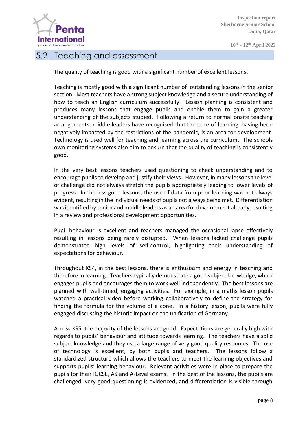

#### 5.2 Teaching and assessment

The quality of teaching is good with a significant number of excellent lessons.

Teaching is mostly good with a significant number of outstanding lessons in the senior section. Most teachers have a strong subject knowledge and a secure understanding of how to teach an English curriculum successfully. Lesson planning is consistent and produces many lessons that engage pupils and enable them to gain a greater understanding of the subjects studied. Following a return to normal onsite teaching arrangements, middle leaders have recognised that the pace of learning, having been negatively impacted by the restrictions of the pandemic, is an area for development. Technology is used well for teaching and learning across the curriculum. The schools own monitoring systems also aim to ensure that the quality of teaching is consistently good.

In the very best lessons teachers used questioning to check understanding and to encourage pupils to develop and justify their views. However, in many lessons the level of challenge did not always stretch the pupils appropriately leading to lower levels of progress. In the less good lessons, the use of data from prior learning was not always evident, resulting in the individual needs of pupils not always being met. Differentiation was identified by senior and middle leaders as an area for development already resulting in a review and professional development opportunities.

Pupil behaviour is excellent and teachers managed the occasional lapse effectively resulting in lessons being rarely disrupted. When lessons lacked challenge pupils demonstrated high levels of self-control, highlighting their understanding of expectations for behaviour.

Throughout KS4, in the best lessons, there is enthusiasm and energy in teaching and therefore in learning. Teachers typically demonstrate a good subject knowledge, which engages pupils and encourages them to work well independently. The best lessons are planned with well-timed, engaging activities. For example, in a maths lesson pupils watched a practical video before working collaboratively to define the strategy for finding the formula for the volume of a cone. In a history lesson, pupils were fully engaged discussing the historic impact on the unification of Germany.

Across KS5, the majority of the lessons are good. Expectations are generally high with regards to pupils' behaviour and attitude towards learning. The teachers have a solid subject knowledge and they use a large range of very good quality resources. The use of technology is excellent, by both pupils and teachers. The lessons follow a standardized structure which allows the teachers to meet the learning objectives and supports pupils' learning behaviour. Relevant activities were in place to prepare the pupils for their IGCSE, AS and A-Level exams. In the best of the lessons, the pupils are challenged, very good questioning is evidenced, and differentiation is visible through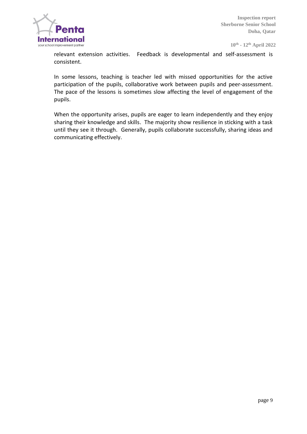

relevant extension activities. Feedback is developmental and self-assessment is consistent.

In some lessons, teaching is teacher led with missed opportunities for the active participation of the pupils, collaborative work between pupils and peer-assessment. The pace of the lessons is sometimes slow affecting the level of engagement of the pupils.

When the opportunity arises, pupils are eager to learn independently and they enjoy sharing their knowledge and skills. The majority show resilience in sticking with a task until they see it through. Generally, pupils collaborate successfully, sharing ideas and communicating effectively.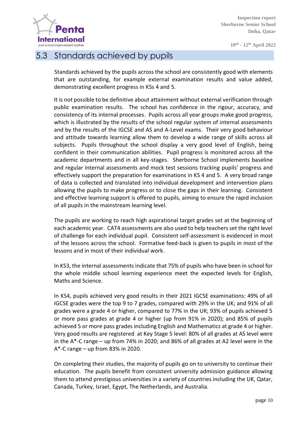

#### 5.3 Standards achieved by pupils

Standards achieved by the pupils across the school are consistently good with elements that are outstanding, for example external examination results and value added, demonstrating excellent progress in KSs 4 and 5.

It is not possible to be definitive about attainment without external verification through public examination results. The school has confidence in the rigour, accuracy, and consistency of its internal processes. Pupils across all year groups make good progress, which is illustrated by the results of the school regular system of internal assessments and by the results of the IGCSE and AS and A-Level exams. Their very good behaviour and attitude towards learning allow them to develop a wide range of skills across all subjects. Pupils throughout the school display a very good level of English, being confident in their communication abilities. Pupil progress is monitored across all the academic departments and in all key-stages. Sherborne School implements baseline and regular internal assessments and mock test sessions tracking pupils' progress and effectively support the preparation for examinations in KS 4 and 5. A very broad range of data is collected and translated into individual development and intervention plans allowing the pupils to make progress or to close the gaps in their learning. Consistent and effective learning support is offered to pupils, aiming to ensure the rapid inclusion of all pupils in the mainstream learning level.

The pupils are working to reach high aspirational target grades set at the beginning of each academic year. CAT4 assessments are also used to help teachers set the right level of challenge for each individual pupil. Consistent self-assessment is evidenced in most of the lessons across the school. Formative feed-back is given to pupils in most of the lessons and in most of their individual work.

In KS3, the internal assessments indicate that 75% of pupils who have been in school for the whole middle school learning experience meet the expected levels for English, Maths and Science.

In KS4, pupils achieved very good results in their 2021 IGCSE examinations: 49% of all IGCSE grades were the top 9 to 7 grades, compared with 29% in the UK; and 91% of all grades were a grade 4 or higher, compared to 77% in the UK; 93% of pupils achieved 5 or more pass grades at grade 4 or higher (up from 91% in 2020); and 85% of pupils achieved 5 or more pass grades including English and Mathematics at grade 4 or higher. Very good results are registered at Key Stage 5 level: 80% of all grades at AS level were in the A\*-C range – up from 74% in 2020; and 86% of all grades at A2 level were in the A\*-C range – up from 83% in 2020.

On completing their studies, the majority of pupils go on to university to continue their education. The pupils benefit from consistent university admission guidance allowing them to attend prestigious universities in a variety of countries including the UK, Qatar, Canada, Turkey, Israel, Egypt, The Netherlands, and Australia.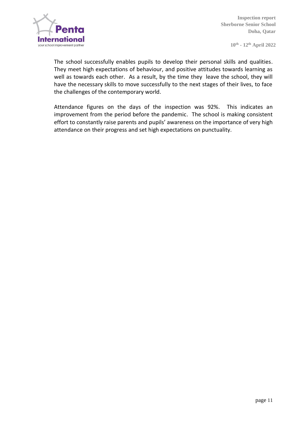

The school successfully enables pupils to develop their personal skills and qualities. They meet high expectations of behaviour, and positive attitudes towards learning as well as towards each other. As a result, by the time they leave the school, they will have the necessary skills to move successfully to the next stages of their lives, to face the challenges of the contemporary world.

Attendance figures on the days of the inspection was 92%. This indicates an improvement from the period before the pandemic. The school is making consistent effort to constantly raise parents and pupils' awareness on the importance of very high attendance on their progress and set high expectations on punctuality.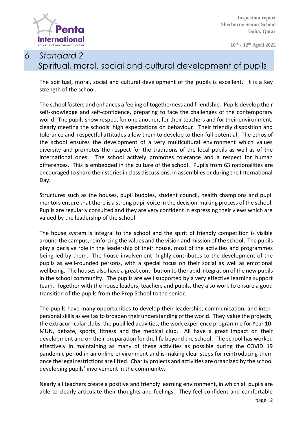

## *6. Standard 2*  Spiritual, moral, social and cultural development of pupils

The spiritual, moral, social and cultural development of the pupils is excellent. It is a key strength of the school.

The school fosters and enhances a feeling of togetherness and friendship. Pupils develop their self-knowledge and self-confidence, preparing to face the challenges of the contemporary world. The pupils show respect for one another, for their teachers and for their environment, clearly meeting the schools' high expectations on behaviour. Their friendly disposition and tolerance and respectful attitudes allow them to develop to their full potential. The ethos of the school ensures the development of a very multicultural environment which values diversity and promotes the respect for the traditions of the local pupils as well as of the international ones. The school actively promotes tolerance and a respect for human differences. This is embedded in the culture of the school. Pupils from 63 nationalities are encouraged to share their stories in class discussions, in assemblies or during the International Day.

Structures such as the houses, pupil buddies, student council, health champions and pupil mentors ensure that there is a strong pupil voice in the decision-making process of the school. Pupils are regularly consulted and they are very confident in expressing their views which are valued by the leadership of the school.

The house system is integral to the school and the spirit of friendly competition is visible around the campus, reinforcing the values and the vision and mission of the school. The pupils play a decisive role in the leadership of their house, most of the activities and programmes being led by them. The house involvement highly contributes to the development of the pupils as well-rounded persons, with a special focus on their social as well as emotional wellbeing. The houses also have a great contribution to the rapid integration of the new pupils in the school community. The pupils are well supported by a very effective learning support team. Together with the house leaders, teachers and pupils, they also work to ensure a good transition of the pupils from the Prep School to the senior.

The pupils have many opportunities to develop their leadership, communication, and interpersonal skills as well as to broaden their understanding of the world. They value the projects, the extracurricular clubs, the pupil led activities, the work experience programme for Year 10. MUN, debate, sports, fitness and the medical club. All have a great impact on their development and on their preparation for the life beyond the school. The school has worked effectively in maintaining as many of these activities as possible during the COVID 19 pandemic period in an online environment and is making clear steps for reintroducing them once the legal restrictions are lifted. Charity projects and activities are organized by the school developing pupils' involvement in the community.

Nearly all teachers create a positive and friendly learning environment, in which all pupils are able to clearly articulate their thoughts and feelings. They feel confident and comfortable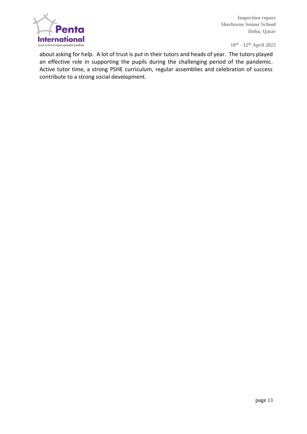

**10th - 12th April 2022**

about asking for help. A lot of trust is put in their tutors and heads of year. The tutors played an effective role in supporting the pupils during the challenging period of the pandemic. Active tutor time, a strong PSHE curriculum, regular assemblies and celebration of success contribute to a strong social development.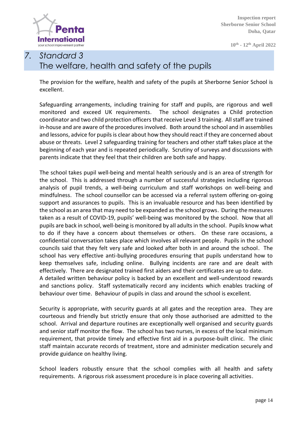

**10th - 12th April 2022**

# *7. Standard 3* The welfare, health and safety of the pupils

The provision for the welfare, health and safety of the pupils at Sherborne Senior School is excellent.

Safeguarding arrangements, including training for staff and pupils, are rigorous and well monitored and exceed UK requirements. The school designates a Child protection coordinator and two child protection officers that receive Level 3 training. All staff are trained in-house and are aware of the procedures involved. Both around the school and in assemblies and lessons, advice for pupils is clear about how they should react if they are concerned about abuse or threats. Level 2 safeguarding training for teachers and other staff takes place at the beginning of each year and is repeated periodically. Scrutiny of surveys and discussions with parents indicate that they feel that their children are both safe and happy.

The school takes pupil well-being and mental health seriously and is an area of strength for the school. This is addressed through a number of successful strategies including rigorous analysis of pupil trends, a well-being curriculum and staff workshops on well-being and mindfulness. The school counsellor can be accessed via a referral system offering on-going support and assurances to pupils. This is an invaluable resource and has been identified by the school as an area that may need to be expanded as the school grows. During the measures taken as a result of COVID-19, pupils' well-being was monitored by the school. Now that all pupils are back in school, well-being is monitored by all adults in the school. Pupils know what to do if they have a concern about themselves or others. On these rare occasions, a confidential conversation takes place which involves all relevant people. Pupils in the school councils said that they felt very safe and looked after both in and around the school. The school has very effective anti-bullying procedures ensuring that pupils understand how to keep themselves safe, including online. Bullying incidents are rare and are dealt with effectively. There are designated trained first aiders and their certificates are up to date. A detailed written behaviour policy is backed by an excellent and well-understood rewards and sanctions policy. Staff systematically record any incidents which enables tracking of behaviour over time. Behaviour of pupils in class and around the school is excellent.

Security is appropriate, with security guards at all gates and the reception area. They are courteous and friendly but strictly ensure that only those authorised are admitted to the school. Arrival and departure routines are exceptionally well organised and security guards and senior staff monitor the flow. The school has two nurses, in excess of the local minimum requirement, that provide timely and effective first aid in a purpose-built clinic. The clinic staff maintain accurate records of treatment, store and administer medication securely and provide guidance on healthy living.

School leaders robustly ensure that the school complies with all health and safety requirements. A rigorous risk assessment procedure is in place covering all activities.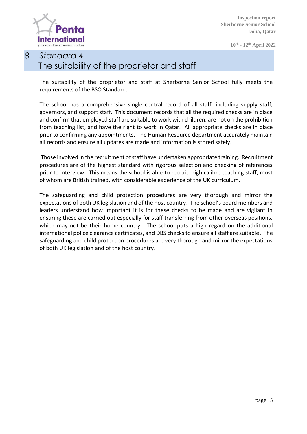

**10th - 12th April 2022**

# *8. Standard 4* The suitability of the proprietor and staff

The suitability of the proprietor and staff at Sherborne Senior School fully meets the requirements of the BSO Standard.

The school has a comprehensive single central record of all staff, including supply staff, governors, and support staff. This document records that all the required checks are in place and confirm that employed staff are suitable to work with children, are not on the prohibition from teaching list, and have the right to work in Qatar. All appropriate checks are in place prior to confirming any appointments. The Human Resource department accurately maintain all records and ensure all updates are made and information is stored safely.

Those involved in the recruitment of staff have undertaken appropriate training. Recruitment procedures are of the highest standard with rigorous selection and checking of references prior to interview. This means the school is able to recruit high calibre teaching staff, most of whom are British trained, with considerable experience of the UK curriculum.

The safeguarding and child protection procedures are very thorough and mirror the expectations of both UK legislation and of the host country. The school's board members and leaders understand how important it is for these checks to be made and are vigilant in ensuring these are carried out especially for staff transferring from other overseas positions, which may not be their home country. The school puts a high regard on the additional international police clearance certificates, and DBS checks to ensure all staff are suitable. The safeguarding and child protection procedures are very thorough and mirror the expectations of both UK legislation and of the host country.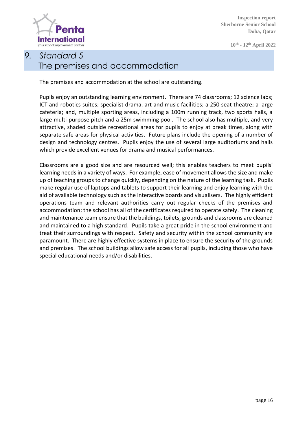

**10th - 12th April 2022**

# *9. Standard 5* The premises and accommodation

The premises and accommodation at the school are outstanding.

Pupils enjoy an outstanding learning environment. There are 74 classrooms; 12 science labs; ICT and robotics suites; specialist drama, art and music facilities; a 250-seat theatre; a large cafeteria; and, multiple sporting areas, including a 100m running track, two sports halls, a large multi-purpose pitch and a 25m swimming pool. The school also has multiple, and very attractive, shaded outside recreational areas for pupils to enjoy at break times, along with separate safe areas for physical activities. Future plans include the opening of a number of design and technology centres. Pupils enjoy the use of several large auditoriums and halls which provide excellent venues for drama and musical performances.

Classrooms are a good size and are resourced well; this enables teachers to meet pupils' learning needs in a variety of ways. For example, ease of movement allows the size and make up of teaching groups to change quickly, depending on the nature of the learning task. Pupils make regular use of laptops and tablets to support their learning and enjoy learning with the aid of available technology such as the interactive boards and visualisers. The highly efficient operations team and relevant authorities carry out regular checks of the premises and accommodation; the school has all of the certificates required to operate safely. The cleaning and maintenance team ensure that the buildings, toilets, grounds and classrooms are cleaned and maintained to a high standard. Pupils take a great pride in the school environment and treat their surroundings with respect. Safety and security within the school community are paramount. There are highly effective systems in place to ensure the security of the grounds and premises. The school buildings allow safe access for all pupils, including those who have special educational needs and/or disabilities.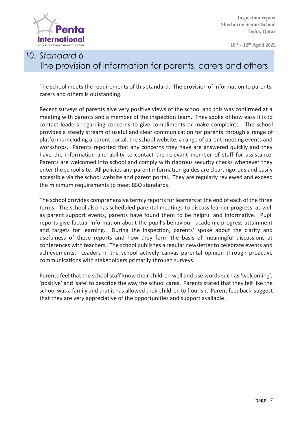

**10th - 12th April 2022**

# *10. Standard 6* The provision of information for parents, carers and others

The school meets the requirements of this standard. The provision of information to parents, carers and others is outstanding.

Recent surveys of parents give very positive views of the school and this was confirmed at a meeting with parents and a member of the inspection team. They spoke of how easy it is to contact leaders regarding concerns to give compliments or make complaints. The school provides a steady stream of useful and clear communication for parents through a range of platforms including a parent portal, the school website, a range of parent meeting events and workshops. Parents reported that any concerns they have are answered quickly and they have the information and ability to contact the relevant member of staff for assistance. Parents are welcomed into school and comply with rigorous security checks whenever they enter the school site. All policies and parent information guides are clear, rigorous and easily accessible via the school website and parent portal. They are regularly reviewed and exceed the minimum requirements to meet BSO standards.

The school provides comprehensive termly reports for learners at the end of each of the three terms. The school also has scheduled parental meetings to discuss learner progress, as well as parent support events, parents have found them to be helpful and informative. Pupil reports give factual information about the pupil's behaviour, academic progress attainment and targets for learning. During the inspection, parents' spoke about the clarity and usefulness of these reports and how they form the basis of meaningful discussions at conferences with teachers. The school publishes a regular newsletter to celebrate events and achievements. Leaders in the school actively canvas parental opinion through proactive communications with stakeholders primarily through surveys.

Parents feel that the school staff know their children well and use words such as 'welcoming', 'positive' and 'safe' to describe the way the school cares. Parents stated that they felt like the school was a family and that it has allowed their children to flourish. Parent feedback suggest that they are very appreciative of the opportunities and support available.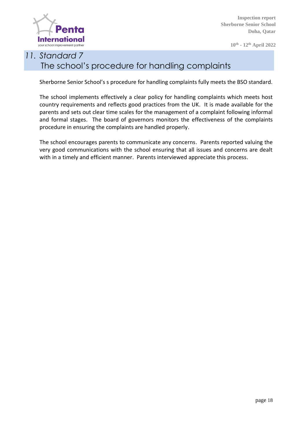

**10th - 12th April 2022**

# *11. Standard 7* The school's procedure for handling complaints

Sherborne Senior School's s procedure for handling complaints fully meets the BSO standard.

The school implements effectively a clear policy for handling complaints which meets host country requirements and reflects good practices from the UK. It is made available for the parents and sets out clear time scales for the management of a complaint following informal and formal stages. The board of governors monitors the effectiveness of the complaints procedure in ensuring the complaints are handled properly.

The school encourages parents to communicate any concerns. Parents reported valuing the very good communications with the school ensuring that all issues and concerns are dealt with in a timely and efficient manner. Parents interviewed appreciate this process.